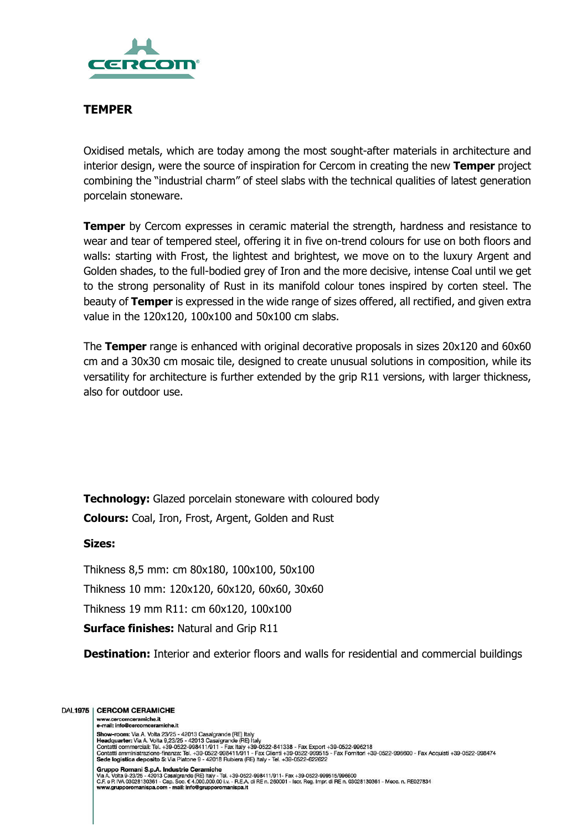

## **TEMPER**

Oxidised metals, which are today among the most sought-after materials in architecture and interior design, were the source of inspiration for Cercom in creating the new **Temper** project combining the "industrial charm" of steel slabs with the technical qualities of latest generation porcelain stoneware.

**Temper** by Cercom expresses in ceramic material the strength, hardness and resistance to wear and tear of tempered steel, offering it in five on-trend colours for use on both floors and walls: starting with Frost, the lightest and brightest, we move on to the luxury Argent and Golden shades, to the full-bodied grey of Iron and the more decisive, intense Coal until we get to the strong personality of Rust in its manifold colour tones inspired by corten steel. The beauty of **Temper** is expressed in the wide range of sizes offered, all rectified, and given extra value in the 120x120, 100x100 and 50x100 cm slabs.

The **Temper** range is enhanced with original decorative proposals in sizes 20x120 and 60x60 cm and a 30x30 cm mosaic tile, designed to create unusual solutions in composition, while its versatility for architecture is further extended by the grip R11 versions, with larger thickness, also for outdoor use.

**Technology:** Glazed porcelain stoneware with coloured body

**Colours:** Coal, Iron, Frost, Argent, Golden and Rust

### **Sizes:**

Thikness 8,5 mm: cm 80x180, 100x100, 50x100

Thikness 10 mm: 120x120, 60x120, 60x60, 30x60

Thikness 19 mm R11: cm 60x120, 100x100

**Surface finishes:** Natural and Grip R11

**Destination:** Interior and exterior floors and walls for residential and commercial buildings

#### DAL1975 | CERCOM CERAMICHE

www.cercomceramiche.it e-mail: info@cercomceramiche.it

Finan: interest-connection-training-<br>
Show-room: Via A. Volta 9,23/25 - 42013 Casalgrande (RE) Italy<br>
Headquarter: Via A. Volta 9,23/25 - 42013 Casalgrande (RE) Italy<br>
Contatti commerciali: Tal. +39-0522-998411/911 - Fax I Gruppo Romani S.p.A. Industrie Ceramiche<br>Via A. Volta 9-23/25 - 42013 Casalgrande (RE) Italy - Tel. +39-0522-998411/911- Fax +39-0522-999515/996600<br>C.F. e P. IVA 03028130361 - Cap. Soc. € 4.000.000.00 i.v. - R.E.A. di RE n